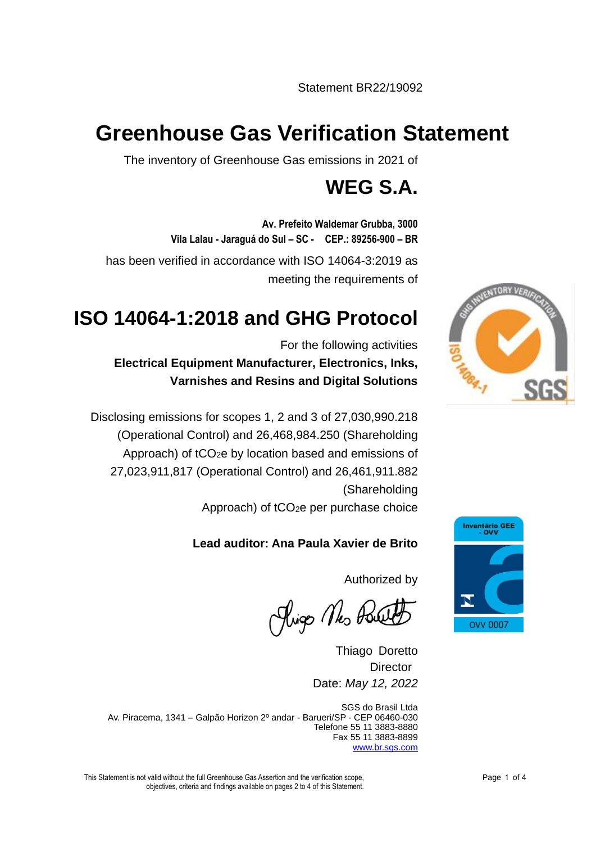Statement BR22/19092

# **Greenhouse Gas Verification Statement**

The inventory of Greenhouse Gas emissions in 2021 of

# **WEG S.A.**

**Av. Prefeito Waldemar Grubba, 3000 Vila Lalau - Jaraguá do Sul – SC - CEP.: 89256-900 – BR**

has been verified in accordance with ISO 14064-3:2019 as meeting the requirements of

# **ISO 14064-1:2018 and GHG Protocol**

For the following activities **Electrical Equipment Manufacturer, Electronics, Inks, Varnishes and Resins and Digital Solutions**

Disclosing emissions for scopes 1, 2 and 3 of 27,030,990.218 (Operational Control) and 26,468,984.250 (Shareholding Approach) of tCO2e by location based and emissions of 27,023,911,817 (Operational Control) and 26,461,911.882 (Shareholding Approach) of tCO2e per purchase choice

# **Lead auditor: Ana Paula Xavier de Brito**

Authorized by

Rigo Nes Porte

Thiago Doretto **Director** Date: *May 12, 2022*

SGS do Brasil Ltda Av. Piracema, 1341 – Galpão Horizon 2º andar - Barueri/SP - CEP 06460-030 Telefone 55 11 3883-8880 Fax 55 11 3883-8899 [www.br.sgs.com](http://www.br.sgs.com/)



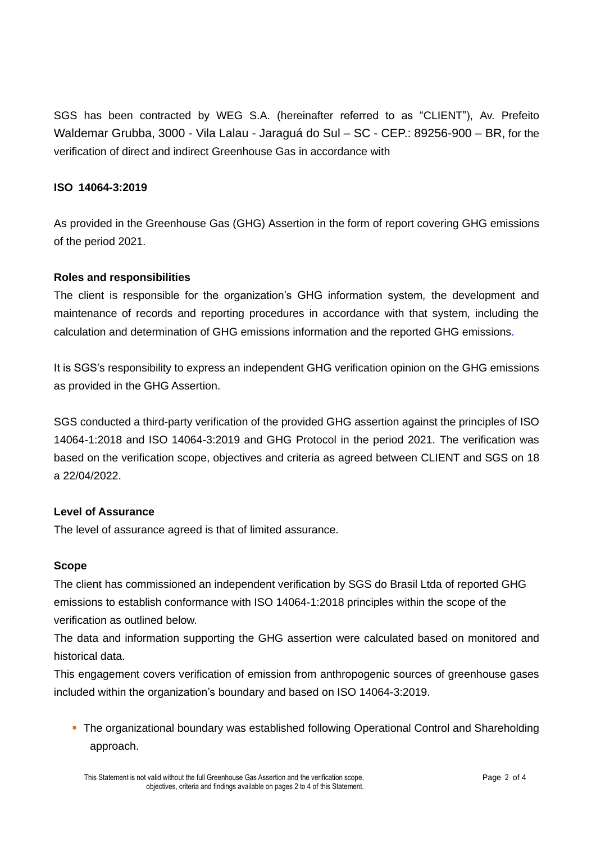SGS has been contracted by WEG S.A. (hereinafter referred to as "CLIENT"), Av. Prefeito Waldemar Grubba, 3000 - Vila Lalau - Jaraguá do Sul – SC - CEP.: 89256-900 – BR, for the verification of direct and indirect Greenhouse Gas in accordance with

# **ISO 14064-3:2019**

As provided in the Greenhouse Gas (GHG) Assertion in the form of report covering GHG emissions of the period 2021.

#### **Roles and responsibilities**

The client is responsible for the organization's GHG information system*,* the development and maintenance of records and reporting procedures in accordance with that system, including the calculation and determination of GHG emissions information and the reported GHG emissions.

It is SGS's responsibility to express an independent GHG verification opinion on the GHG emissions as provided in the GHG Assertion.

SGS conducted a third-party verification of the provided GHG assertion against the principles of ISO 14064-1:2018 and ISO 14064-3:2019 and GHG Protocol in the period 2021. The verification was based on the verification scope, objectives and criteria as agreed between CLIENT and SGS on 18 a 22/04/2022.

# **Level of Assurance**

The level of assurance agreed is that of limited assurance.

#### **Scope**

The client has commissioned an independent verification by SGS do Brasil Ltda of reported GHG emissions to establish conformance with ISO 14064-1:2018 principles within the scope of the verification as outlined below.

The data and information supporting the GHG assertion were calculated based on monitored and historical data.

This engagement covers verification of emission from anthropogenic sources of greenhouse gases included within the organization's boundary and based on ISO 14064-3:2019.

**• The organizational boundary was established following Operational Control and Shareholding** approach.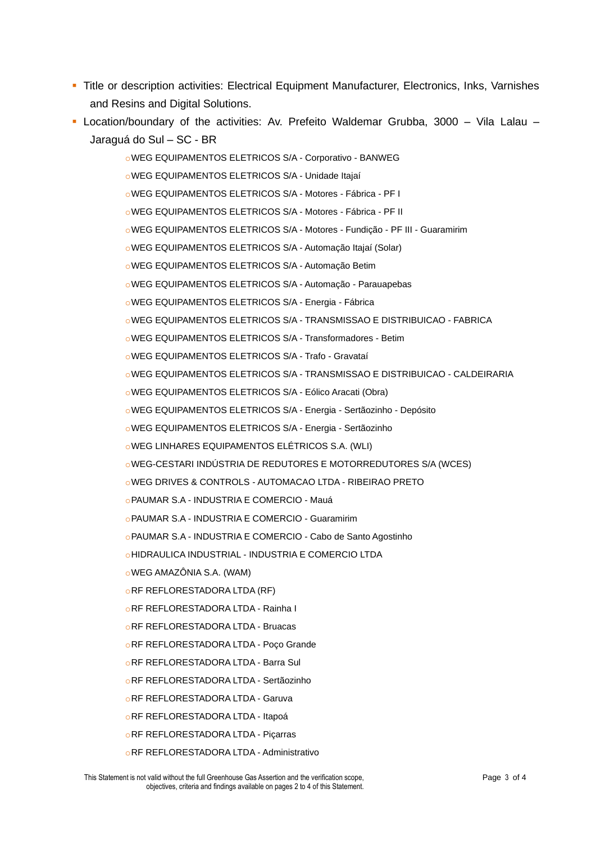- **Title or description activities: Electrical Equipment Manufacturer, Electronics, Inks, Varnishes** and Resins and Digital Solutions.
- Location/boundary of the activities: Av. Prefeito Waldemar Grubba, 3000 Vila Lalau Jaraguá do Sul – SC - BR
	- oWEG EQUIPAMENTOS ELETRICOS S/A Corporativo BANWEG
	- oWEG EQUIPAMENTOS ELETRICOS S/A Unidade Itajaí
	- oWEG EQUIPAMENTOS ELETRICOS S/A Motores Fábrica PF I
	- oWEG EQUIPAMENTOS ELETRICOS S/A Motores Fábrica PF II
	- oWEG EQUIPAMENTOS ELETRICOS S/A Motores Fundição PF III Guaramirim
	- oWEG EQUIPAMENTOS ELETRICOS S/A Automação Itajaí (Solar)
	- oWEG EQUIPAMENTOS ELETRICOS S/A Automação Betim
	- oWEG EQUIPAMENTOS ELETRICOS S/A Automação Parauapebas
	- oWEG EQUIPAMENTOS ELETRICOS S/A Energia Fábrica
	- oWEG EQUIPAMENTOS ELETRICOS S/A TRANSMISSAO E DISTRIBUICAO FABRICA
	- oWEG EQUIPAMENTOS ELETRICOS S/A Transformadores Betim
	- oWEG EQUIPAMENTOS ELETRICOS S/A Trafo Gravataí
	- oWEG EQUIPAMENTOS ELETRICOS S/A TRANSMISSAO E DISTRIBUICAO CALDEIRARIA
	- oWEG EQUIPAMENTOS ELETRICOS S/A Eólico Aracati (Obra)
	- oWEG EQUIPAMENTOS ELETRICOS S/A Energia Sertãozinho Depósito
	- oWEG EQUIPAMENTOS ELETRICOS S/A Energia Sertãozinho
	- oWEG LINHARES EQUIPAMENTOS ELÉTRICOS S.A. (WLI)
	- oWEG-CESTARI INDÚSTRIA DE REDUTORES E MOTORREDUTORES S/A (WCES)
	- oWEG DRIVES & CONTROLS AUTOMACAO LTDA RIBEIRAO PRETO
	- oPAUMAR S.A INDUSTRIA E COMERCIO Mauá
	- oPAUMAR S.A INDUSTRIA E COMERCIO Guaramirim
	- oPAUMAR S.A INDUSTRIA E COMERCIO Cabo de Santo Agostinho
	- oHIDRAULICA INDUSTRIAL INDUSTRIA E COMERCIO LTDA
	- oWEG AMAZÔNIA S.A. (WAM)
	- oRF REFLORESTADORA LTDA (RF)
	- oRF REFLORESTADORA LTDA Rainha I
	- oRF REFLORESTADORA LTDA Bruacas
	- oRF REFLORESTADORA LTDA Poço Grande
	- **ORF REFLORESTADORA LTDA Barra Sul**
	- oRF REFLORESTADORA LTDA Sertãozinho
	- oRF REFLORESTADORA LTDA Garuva
	- oRF REFLORESTADORA LTDA Itapoá
	- oRF REFLORESTADORA LTDA Piçarras
	- oRF REFLORESTADORA LTDA Administrativo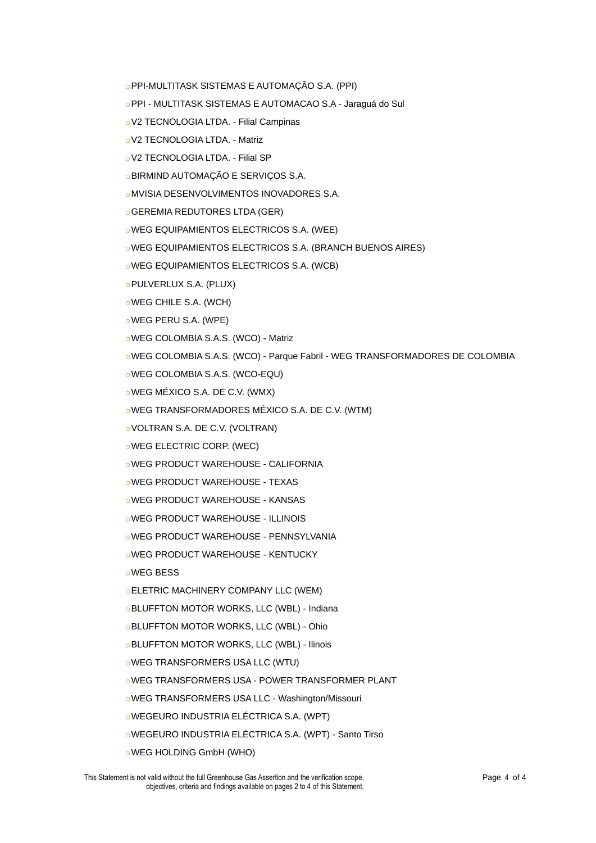oPPI-MULTITASK SISTEMAS E AUTOMAÇÃO S.A. (PPI)

oPPI - MULTITASK SISTEMAS E AUTOMACAO S.A - Jaraguá do Sul

oV2 TECNOLOGIA LTDA. - Filial Campinas

oV2 TECNOLOGIA LTDA. - Matriz

oV2 TECNOLOGIA LTDA. - Filial SP

oBIRMIND AUTOMAÇÃO E SERVIÇOS S.A.

oMVISIA DESENVOLVIMENTOS INOVADORES S.A.

oGEREMIA REDUTORES LTDA (GER)

oWEG EQUIPAMIENTOS ELECTRICOS S.A. (WEE)

oWEG EQUIPAMIENTOS ELECTRICOS S.A. (BRANCH BUENOS AIRES)

oWEG EQUIPAMIENTOS ELECTRICOS S.A. (WCB)

oPULVERLUX S.A. (PLUX)

oWEG CHILE S.A. (WCH)

oWEG PERU S.A. (WPE)

oWEG COLOMBIA S.A.S. (WCO) - Matriz

oWEG COLOMBIA S.A.S. (WCO) - Parque Fabril - WEG TRANSFORMADORES DE COLOMBIA

oWEG COLOMBIA S.A.S. (WCO-EQU)

oWEG MÉXICO S.A. DE C.V. (WMX)

oWEG TRANSFORMADORES MÉXICO S.A. DE C.V. (WTM)

oVOLTRAN S.A. DE C.V. (VOLTRAN)

oWEG ELECTRIC CORP. (WEC)

oWEG PRODUCT WAREHOUSE - CALIFORNIA

oWEG PRODUCT WAREHOUSE - TEXAS

oWEG PRODUCT WAREHOUSE - KANSAS

oWEG PRODUCT WAREHOUSE - ILLINOIS

oWEG PRODUCT WAREHOUSE - PENNSYLVANIA

oWEG PRODUCT WAREHOUSE - KENTUCKY

oWEG BESS

oELETRIC MACHINERY COMPANY LLC (WEM)

oBLUFFTON MOTOR WORKS, LLC (WBL) - Indiana

oBLUFFTON MOTOR WORKS, LLC (WBL) - Ohio

oBLUFFTON MOTOR WORKS, LLC (WBL) - Ilinois

oWEG TRANSFORMERS USA LLC (WTU)

oWEG TRANSFORMERS USA - POWER TRANSFORMER PLANT

oWEG TRANSFORMERS USA LLC - Washington/Missouri

oWEGEURO INDUSTRIA ELÉCTRICA S.A. (WPT)

oWEGEURO INDUSTRIA ELÉCTRICA S.A. (WPT) - Santo Tirso

oWEG HOLDING GmbH (WHO)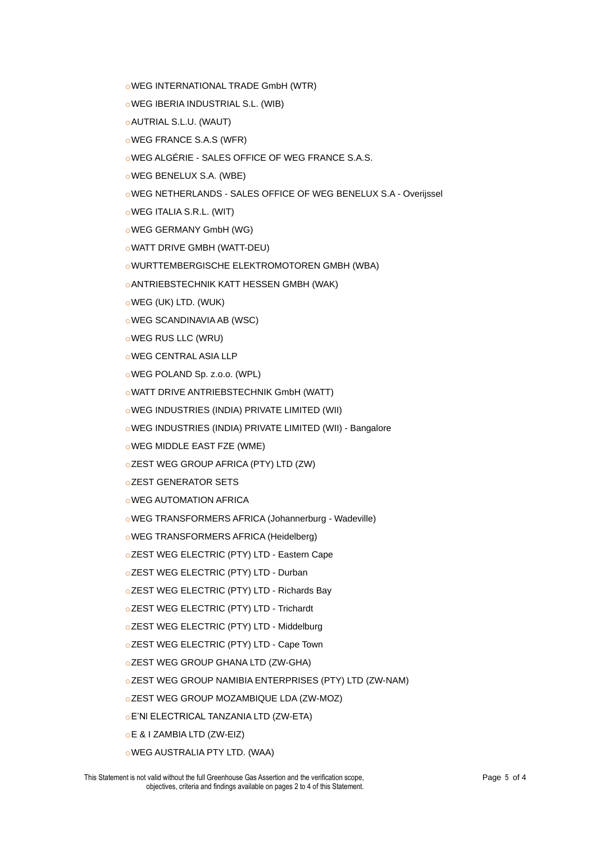- oWEG INTERNATIONAL TRADE GmbH (WTR)
- oWEG IBERIA INDUSTRIAL S.L. (WIB)
- oAUTRIAL S.L.U. (WAUT)
- oWEG FRANCE S.A.S (WFR)
- oWEG ALGÉRIE SALES OFFICE OF WEG FRANCE S.A.S.
- oWEG BENELUX S.A. (WBE)
- oWEG NETHERLANDS SALES OFFICE OF WEG BENELUX S.A Overijssel
- oWEG ITALIA S.R.L. (WIT)
- oWEG GERMANY GmbH (WG)
- oWATT DRIVE GMBH (WATT-DEU)
- oWURTTEMBERGISCHE ELEKTROMOTOREN GMBH (WBA)
- oANTRIEBSTECHNIK KATT HESSEN GMBH (WAK)
- oWEG (UK) LTD. (WUK)
- oWEG SCANDINAVIA AB (WSC)
- oWEG RUS LLC (WRU)
- oWEG CENTRAL ASIA LLP
- oWEG POLAND Sp. z.o.o. (WPL)
- oWATT DRIVE ANTRIEBSTECHNIK GmbH (WATT)
- oWEG INDUSTRIES (INDIA) PRIVATE LIMITED (WII)
- oWEG INDUSTRIES (INDIA) PRIVATE LIMITED (WII) Bangalore
- oWEG MIDDLE EAST FZE (WME)
- oZEST WEG GROUP AFRICA (PTY) LTD (ZW)
- oZEST GENERATOR SETS
- oWEG AUTOMATION AFRICA
- oWEG TRANSFORMERS AFRICA (Johannerburg Wadeville)
- oWEG TRANSFORMERS AFRICA (Heidelberg)
- oZEST WEG ELECTRIC (PTY) LTD Eastern Cape
- oZEST WEG ELECTRIC (PTY) LTD Durban
- oZEST WEG ELECTRIC (PTY) LTD Richards Bay
- oZEST WEG ELECTRIC (PTY) LTD Trichardt
- oZEST WEG ELECTRIC (PTY) LTD Middelburg
- oZEST WEG ELECTRIC (PTY) LTD Cape Town
- oZEST WEG GROUP GHANA LTD (ZW-GHA)
- oZEST WEG GROUP NAMIBIA ENTERPRISES (PTY) LTD (ZW-NAM)
- oZEST WEG GROUP MOZAMBIQUE LDA (ZW-MOZ)
- oE'Nl ELECTRICAL TANZANIA LTD (ZW-ETA)
- oE & I ZAMBIA LTD (ZW-EIZ)
- oWEG AUSTRALIA PTY LTD. (WAA)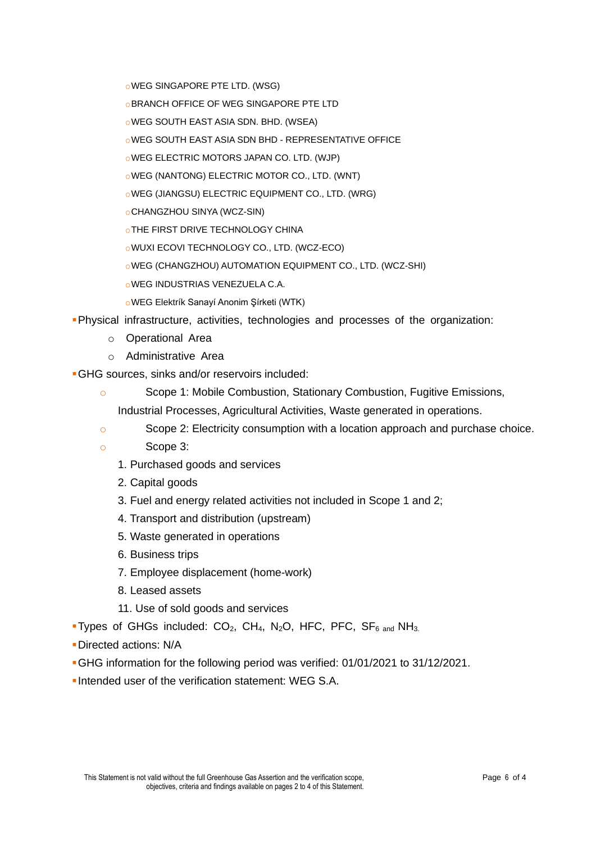oWEG SINGAPORE PTE LTD. (WSG)

- oBRANCH OFFICE OF WEG SINGAPORE PTE LTD
- oWEG SOUTH EAST ASIA SDN. BHD. (WSEA)
- oWEG SOUTH EAST ASIA SDN BHD REPRESENTATIVE OFFICE
- oWEG ELECTRIC MOTORS JAPAN CO. LTD. (WJP)
- oWEG (NANTONG) ELECTRIC MOTOR CO., LTD. (WNT)
- oWEG (JIANGSU) ELECTRIC EQUIPMENT CO., LTD. (WRG)
- oCHANGZHOU SINYA (WCZ-SIN)
- oTHE FIRST DRIVE TECHNOLOGY CHINA
- oWUXI ECOVI TECHNOLOGY CO., LTD. (WCZ-ECO)
- oWEG (CHANGZHOU) AUTOMATION EQUIPMENT CO., LTD. (WCZ-SHI)
- oWEG INDUSTRIAS VENEZUELA C.A.
- oWEG Elektrík Sanayí Anonim Şírketi (WTK)
- ▪Physical infrastructure, activities, technologies and processes of the organization:
	- o Operational Area
	- o Administrative Area
- **GHG** sources, sinks and/or reservoirs included:
	- o Scope 1: Mobile Combustion, Stationary Combustion, Fugitive Emissions, Industrial Processes, Agricultural Activities, Waste generated in operations.
	- o Scope 2: Electricity consumption with a location approach and purchase choice.
	- o Scope 3:
		- 1. Purchased goods and services
		- 2. Capital goods
		- 3. Fuel and energy related activities not included in Scope 1 and 2;
		- 4. Transport and distribution (upstream)
		- 5. Waste generated in operations
		- 6. Business trips
		- 7. Employee displacement (home-work)
		- 8. Leased assets
		- 11. Use of sold goods and services
- **Types of GHGs included: CO<sub>2</sub>, CH<sub>4</sub>, N<sub>2</sub>O, HFC, PFC, SF<sub>6 and</sub> NH<sub>3.</sub>**
- ▪Directed actions: N/A
- ▪GHG information for the following period was verified: 01/01/2021 to 31/12/2021.
- ▪Intended user of the verification statement: WEG S.A.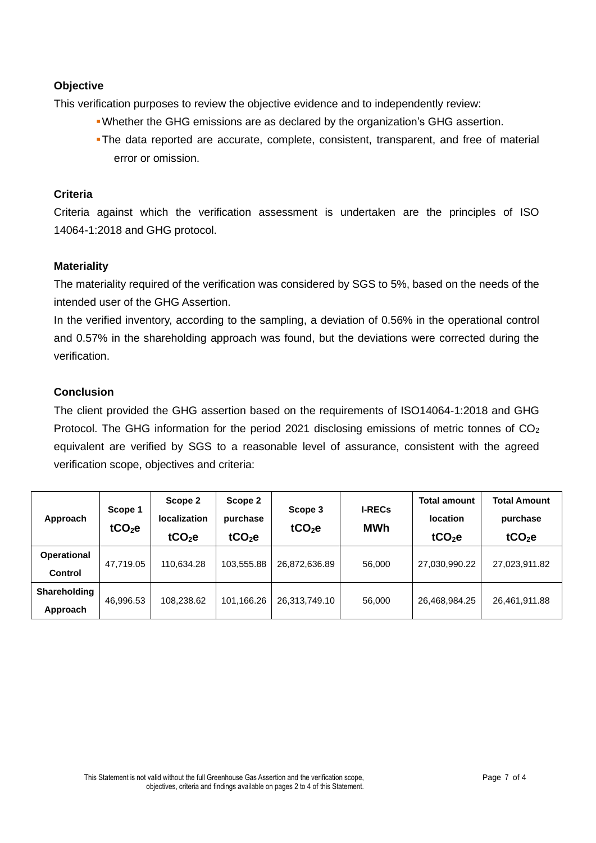# **Objective**

This verification purposes to review the objective evidence and to independently review:

- ▪Whether the GHG emissions are as declared by the organization's GHG assertion.
- . The data reported are accurate, complete, consistent, transparent, and free of material error or omission.

# **Criteria**

Criteria against which the verification assessment is undertaken are the principles of ISO 14064-1:2018 and GHG protocol.

# **Materiality**

The materiality required of the verification was considered by SGS to 5%, based on the needs of the intended user of the GHG Assertion.

In the verified inventory, according to the sampling, a deviation of 0.56% in the operational control and 0.57% in the shareholding approach was found, but the deviations were corrected during the verification.

# **Conclusion**

The client provided the GHG assertion based on the requirements of ISO14064-1:2018 and GHG Protocol. The GHG information for the period 2021 disclosing emissions of metric tonnes of CO<sub>2</sub> equivalent are verified by SGS to a reasonable level of assurance, consistent with the agreed verification scope, objectives and criteria:

| Approach                        | Scope 1<br>tCO <sub>2</sub> e | Scope 2<br><b>localization</b><br>tCO <sub>2</sub> e | Scope 2<br>purchase<br>tCO <sub>2</sub> e | Scope 3<br>tCO <sub>2</sub> e | <b>I-RECs</b><br><b>MWh</b> | <b>Total amount</b><br><b>location</b><br>tCO <sub>2</sub> e | <b>Total Amount</b><br>purchase<br>tCO <sub>2</sub> e |
|---------------------------------|-------------------------------|------------------------------------------------------|-------------------------------------------|-------------------------------|-----------------------------|--------------------------------------------------------------|-------------------------------------------------------|
| <b>Operational</b><br>Control   | 47.719.05                     | 110,634.28                                           | 103,555.88                                | 26,872,636.89                 | 56.000                      | 27,030,990.22                                                | 27,023,911.82                                         |
| <b>Shareholding</b><br>Approach | 46,996.53                     | 108,238.62                                           | 101,166.26                                | 26,313,749.10                 | 56,000                      | 26,468,984.25                                                | 26,461,911.88                                         |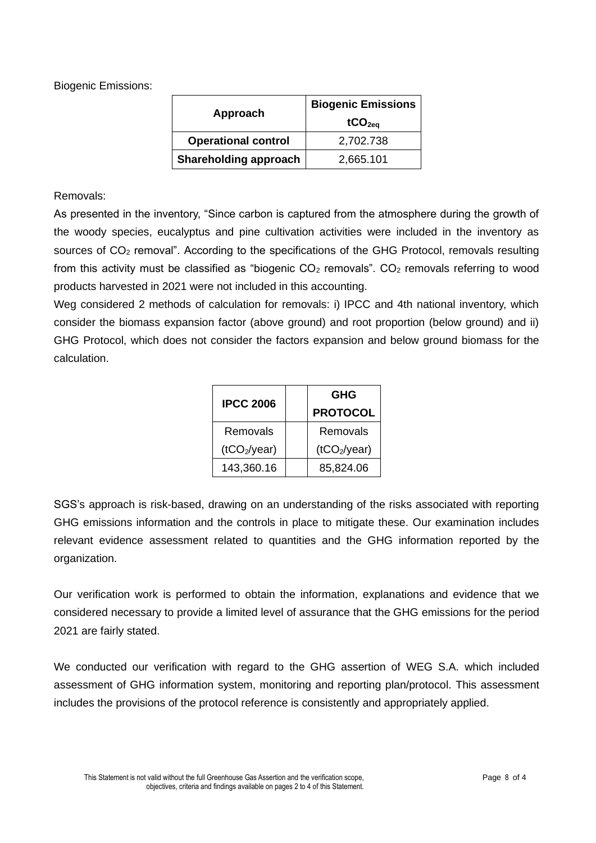Biogenic Emissions:

| Approach                     | <b>Biogenic Emissions</b> |  |
|------------------------------|---------------------------|--|
|                              | tCO <sub>2eq</sub>        |  |
| <b>Operational control</b>   | 2,702.738                 |  |
| <b>Shareholding approach</b> | 2,665.101                 |  |

# Removals:

As presented in the inventory, "Since carbon is captured from the atmosphere during the growth of the woody species, eucalyptus and pine cultivation activities were included in the inventory as sources of CO<sub>2</sub> removal". According to the specifications of the GHG Protocol, removals resulting from this activity must be classified as "biogenic  $CO<sub>2</sub>$  removals".  $CO<sub>2</sub>$  removals referring to wood products harvested in 2021 were not included in this accounting.

Weg considered 2 methods of calculation for removals: i) IPCC and 4th national inventory, which consider the biomass expansion factor (above ground) and root proportion (below ground) and ii) GHG Protocol, which does not consider the factors expansion and below ground biomass for the calculation.

| <b>IPCC 2006</b>         | GHG                      |
|--------------------------|--------------------------|
|                          | <b>PROTOCOL</b>          |
| Removals                 | Removals                 |
| (tCO <sub>2</sub> /year) | (tCO <sub>2</sub> /year) |
| 143,360.16               | 85,824.06                |

SGS's approach is risk-based, drawing on an understanding of the risks associated with reporting GHG emissions information and the controls in place to mitigate these. Our examination includes relevant evidence assessment related to quantities and the GHG information reported by the organization.

Our verification work is performed to obtain the information, explanations and evidence that we considered necessary to provide a limited level of assurance that the GHG emissions for the period 2021 are fairly stated.

We conducted our verification with regard to the GHG assertion of WEG S.A. which included assessment of GHG information system, monitoring and reporting plan/protocol. This assessment includes the provisions of the protocol reference is consistently and appropriately applied.